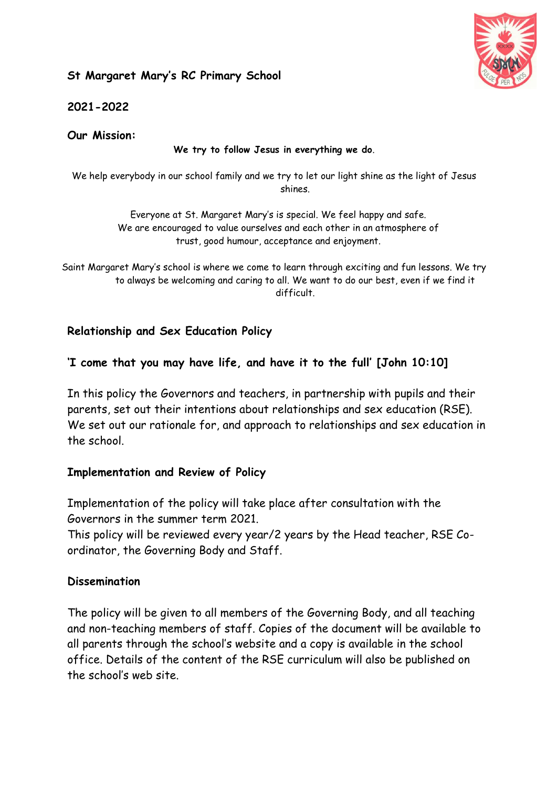## **St Margaret Mary's RC Primary School**



**2021-2022**

**Our Mission:**

#### **We try to follow Jesus in everything we do**.

We help everybody in our school family and we try to let our light shine as the light of Jesus shines.

> Everyone at St. Margaret Mary's is special. We feel happy and safe. We are encouraged to value ourselves and each other in an atmosphere of trust, good humour, acceptance and enjoyment.

Saint Margaret Mary's school is where we come to learn through exciting and fun lessons. We try to always be welcoming and caring to all. We want to do our best, even if we find it difficult.

### **Relationship and Sex Education Policy**

### **'I come that you may have life, and have it to the full' [John 10:10]**

In this policy the Governors and teachers, in partnership with pupils and their parents, set out their intentions about relationships and sex education (RSE). We set out our rationale for, and approach to relationships and sex education in the school.

### **Implementation and Review of Policy**

Implementation of the policy will take place after consultation with the Governors in the summer term 2021.

This policy will be reviewed every year/2 years by the Head teacher, RSE Coordinator, the Governing Body and Staff.

### **Dissemination**

The policy will be given to all members of the Governing Body, and all teaching and non-teaching members of staff. Copies of the document will be available to all parents through the school's website and a copy is available in the school office. Details of the content of the RSE curriculum will also be published on the school's web site.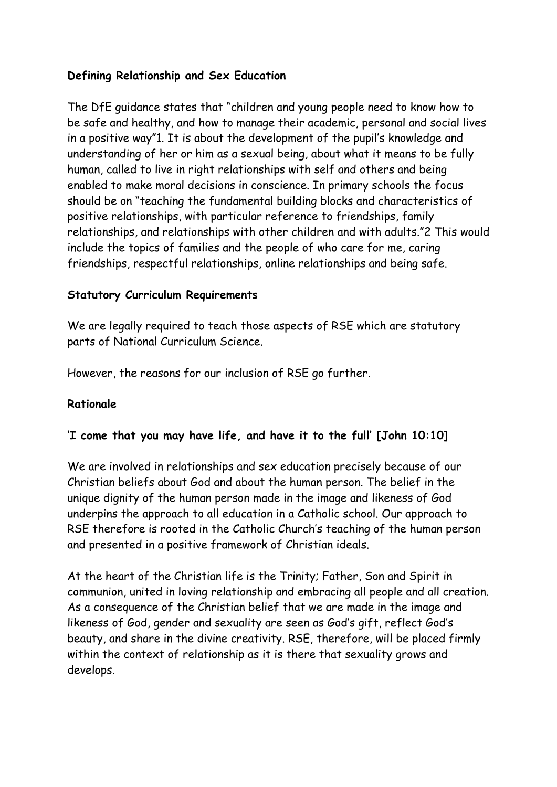## **Defining Relationship and Sex Education**

The DfE guidance states that "children and young people need to know how to be safe and healthy, and how to manage their academic, personal and social lives in a positive way"1. It is about the development of the pupil's knowledge and understanding of her or him as a sexual being, about what it means to be fully human, called to live in right relationships with self and others and being enabled to make moral decisions in conscience. In primary schools the focus should be on "teaching the fundamental building blocks and characteristics of positive relationships, with particular reference to friendships, family relationships, and relationships with other children and with adults."2 This would include the topics of families and the people of who care for me, caring friendships, respectful relationships, online relationships and being safe.

### **Statutory Curriculum Requirements**

We are legally required to teach those aspects of RSE which are statutory parts of National Curriculum Science.

However, the reasons for our inclusion of RSE go further.

### **Rationale**

### **'I come that you may have life, and have it to the full' [John 10:10]**

We are involved in relationships and sex education precisely because of our Christian beliefs about God and about the human person. The belief in the unique dignity of the human person made in the image and likeness of God underpins the approach to all education in a Catholic school. Our approach to RSE therefore is rooted in the Catholic Church's teaching of the human person and presented in a positive framework of Christian ideals.

At the heart of the Christian life is the Trinity; Father, Son and Spirit in communion, united in loving relationship and embracing all people and all creation. As a consequence of the Christian belief that we are made in the image and likeness of God, gender and sexuality are seen as God's gift, reflect God's beauty, and share in the divine creativity. RSE, therefore, will be placed firmly within the context of relationship as it is there that sexuality grows and develops.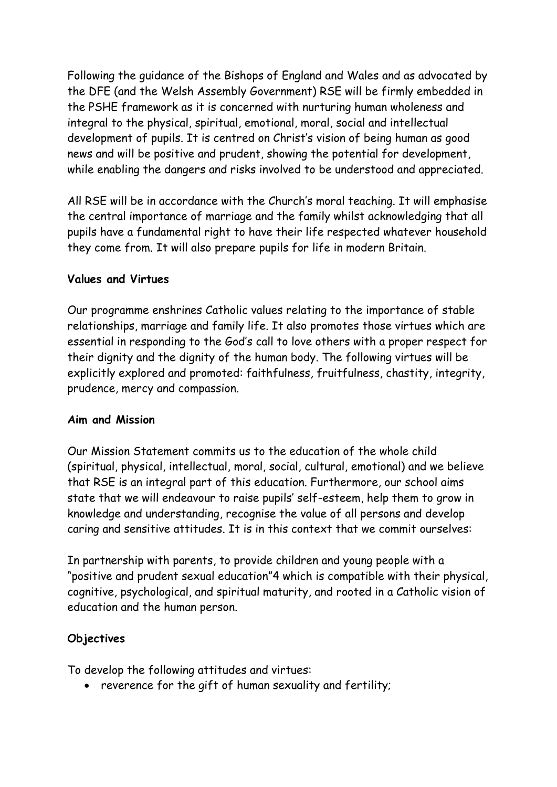Following the guidance of the Bishops of England and Wales and as advocated by the DFE (and the Welsh Assembly Government) RSE will be firmly embedded in the PSHE framework as it is concerned with nurturing human wholeness and integral to the physical, spiritual, emotional, moral, social and intellectual development of pupils. It is centred on Christ's vision of being human as good news and will be positive and prudent, showing the potential for development, while enabling the dangers and risks involved to be understood and appreciated.

All RSE will be in accordance with the Church's moral teaching. It will emphasise the central importance of marriage and the family whilst acknowledging that all pupils have a fundamental right to have their life respected whatever household they come from. It will also prepare pupils for life in modern Britain.

#### **Values and Virtues**

Our programme enshrines Catholic values relating to the importance of stable relationships, marriage and family life. It also promotes those virtues which are essential in responding to the God's call to love others with a proper respect for their dignity and the dignity of the human body. The following virtues will be explicitly explored and promoted: faithfulness, fruitfulness, chastity, integrity, prudence, mercy and compassion.

#### **Aim and Mission**

Our Mission Statement commits us to the education of the whole child (spiritual, physical, intellectual, moral, social, cultural, emotional) and we believe that RSE is an integral part of this education. Furthermore, our school aims state that we will endeavour to raise pupils' self-esteem, help them to grow in knowledge and understanding, recognise the value of all persons and develop caring and sensitive attitudes. It is in this context that we commit ourselves:

In partnership with parents, to provide children and young people with a "positive and prudent sexual education"4 which is compatible with their physical, cognitive, psychological, and spiritual maturity, and rooted in a Catholic vision of education and the human person.

#### **Objectives**

To develop the following attitudes and virtues:

reverence for the gift of human sexuality and fertility;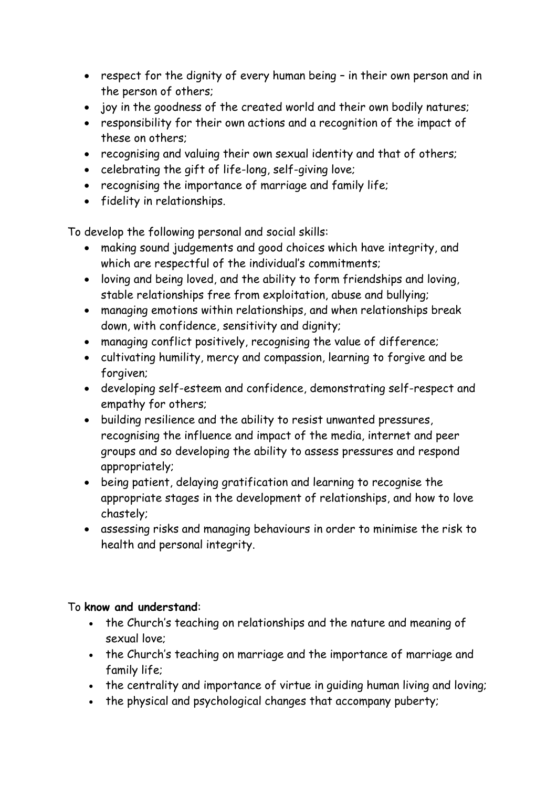- respect for the dignity of every human being in their own person and in the person of others;
- joy in the goodness of the created world and their own bodily natures;
- responsibility for their own actions and a recognition of the impact of these on others;
- recognising and valuing their own sexual identity and that of others;
- celebrating the gift of life-long, self-giving love;
- recognising the importance of marriage and family life;
- fidelity in relationships.

To develop the following personal and social skills:

- making sound judgements and good choices which have integrity, and which are respectful of the individual's commitments;
- loving and being loved, and the ability to form friendships and loving, stable relationships free from exploitation, abuse and bullying;
- managing emotions within relationships, and when relationships break down, with confidence, sensitivity and dignity;
- managing conflict positively, recognising the value of difference;
- cultivating humility, mercy and compassion, learning to forgive and be forgiven;
- developing self-esteem and confidence, demonstrating self-respect and empathy for others;
- building resilience and the ability to resist unwanted pressures, recognising the influence and impact of the media, internet and peer groups and so developing the ability to assess pressures and respond appropriately;
- being patient, delaying gratification and learning to recognise the appropriate stages in the development of relationships, and how to love chastely;
- assessing risks and managing behaviours in order to minimise the risk to health and personal integrity.

# To **know and understand**:

- the Church's teaching on relationships and the nature and meaning of sexual love;
- the Church's teaching on marriage and the importance of marriage and family life;
- the centrality and importance of virtue in quiding human living and loving;
- the physical and psychological changes that accompany puberty;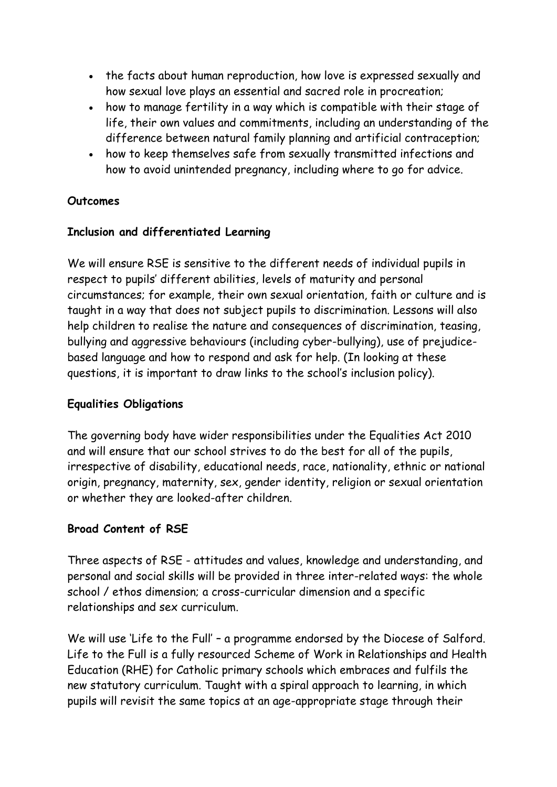- the facts about human reproduction, how love is expressed sexually and how sexual love plays an essential and sacred role in procreation;
- how to manage fertility in a way which is compatible with their stage of life, their own values and commitments, including an understanding of the difference between natural family planning and artificial contraception;
- how to keep themselves safe from sexually transmitted infections and how to avoid unintended pregnancy, including where to go for advice.

### **Outcomes**

### **Inclusion and differentiated Learning**

We will ensure RSE is sensitive to the different needs of individual pupils in respect to pupils' different abilities, levels of maturity and personal circumstances; for example, their own sexual orientation, faith or culture and is taught in a way that does not subject pupils to discrimination. Lessons will also help children to realise the nature and consequences of discrimination, teasing, bullying and aggressive behaviours (including cyber-bullying), use of prejudicebased language and how to respond and ask for help. (In looking at these questions, it is important to draw links to the school's inclusion policy).

### **Equalities Obligations**

The governing body have wider responsibilities under the Equalities Act 2010 and will ensure that our school strives to do the best for all of the pupils, irrespective of disability, educational needs, race, nationality, ethnic or national origin, pregnancy, maternity, sex, gender identity, religion or sexual orientation or whether they are looked-after children.

# **Broad Content of RSE**

Three aspects of RSE - attitudes and values, knowledge and understanding, and personal and social skills will be provided in three inter-related ways: the whole school / ethos dimension; a cross-curricular dimension and a specific relationships and sex curriculum.

We will use 'Life to the Full' - a programme endorsed by the Diocese of Salford. Life to the Full is a fully resourced Scheme of Work in Relationships and Health Education (RHE) for Catholic primary schools which embraces and fulfils the new statutory curriculum. Taught with a spiral approach to learning, in which pupils will revisit the same topics at an age-appropriate stage through their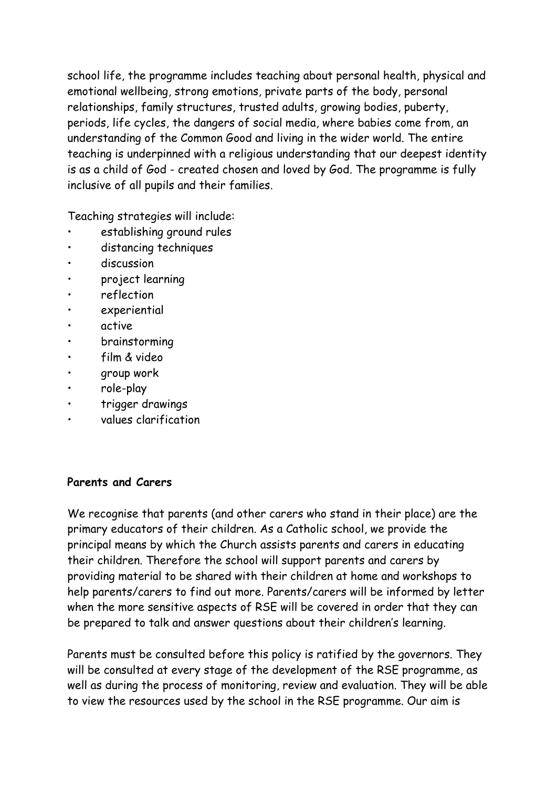school life, the programme includes teaching about personal health, physical and emotional wellbeing, strong emotions, private parts of the body, personal relationships, family structures, trusted adults, growing bodies, puberty, periods, life cycles, the dangers of social media, where babies come from, an understanding of the Common Good and living in the wider world. The entire teaching is underpinned with a religious understanding that our deepest identity is as a child of God - created chosen and loved by God. The programme is fully inclusive of all pupils and their families.

Teaching strategies will include:

- establishing ground rules
- distancing techniques
- discussion
- project learning
- reflection
- experiential
- active
- brainstorming
- film & video
- group work
- role-play
- trigger drawings
- values clarification

#### **Parents and Carers**

We recognise that parents (and other carers who stand in their place) are the primary educators of their children. As a Catholic school, we provide the principal means by which the Church assists parents and carers in educating their children. Therefore the school will support parents and carers by providing material to be shared with their children at home and workshops to help parents/carers to find out more. Parents/carers will be informed by letter when the more sensitive aspects of RSE will be covered in order that they can be prepared to talk and answer questions about their children's learning.

Parents must be consulted before this policy is ratified by the governors. They will be consulted at every stage of the development of the RSE programme, as well as during the process of monitoring, review and evaluation. They will be able to view the resources used by the school in the RSE programme. Our aim is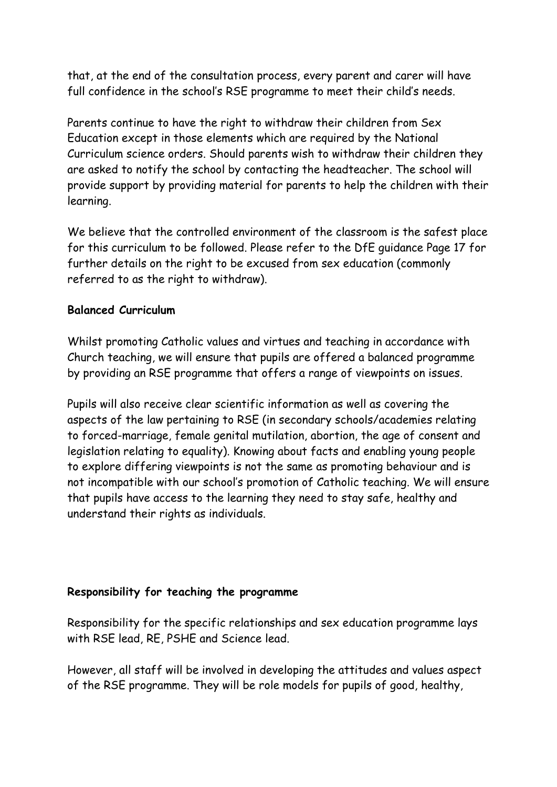that, at the end of the consultation process, every parent and carer will have full confidence in the school's RSE programme to meet their child's needs.

Parents continue to have the right to withdraw their children from Sex Education except in those elements which are required by the National Curriculum science orders. Should parents wish to withdraw their children they are asked to notify the school by contacting the headteacher. The school will provide support by providing material for parents to help the children with their learning.

We believe that the controlled environment of the classroom is the safest place for this curriculum to be followed. Please refer to the DfE guidance Page 17 for further details on the right to be excused from sex education (commonly referred to as the right to withdraw).

### **Balanced Curriculum**

Whilst promoting Catholic values and virtues and teaching in accordance with Church teaching, we will ensure that pupils are offered a balanced programme by providing an RSE programme that offers a range of viewpoints on issues.

Pupils will also receive clear scientific information as well as covering the aspects of the law pertaining to RSE (in secondary schools/academies relating to forced-marriage, female genital mutilation, abortion, the age of consent and legislation relating to equality). Knowing about facts and enabling young people to explore differing viewpoints is not the same as promoting behaviour and is not incompatible with our school's promotion of Catholic teaching. We will ensure that pupils have access to the learning they need to stay safe, healthy and understand their rights as individuals.

#### **Responsibility for teaching the programme**

Responsibility for the specific relationships and sex education programme lays with RSE lead, RE, PSHE and Science lead.

However, all staff will be involved in developing the attitudes and values aspect of the RSE programme. They will be role models for pupils of good, healthy,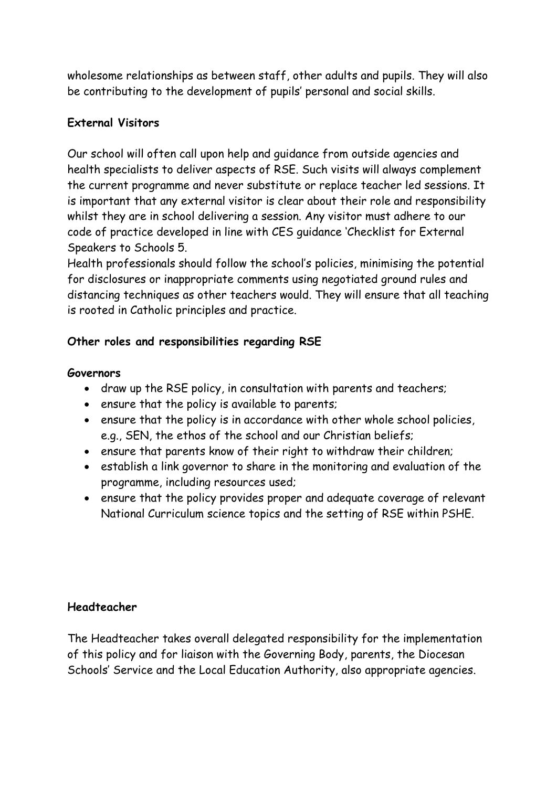wholesome relationships as between staff, other adults and pupils. They will also be contributing to the development of pupils' personal and social skills.

### **External Visitors**

Our school will often call upon help and guidance from outside agencies and health specialists to deliver aspects of RSE. Such visits will always complement the current programme and never substitute or replace teacher led sessions. It is important that any external visitor is clear about their role and responsibility whilst they are in school delivering a session. Any visitor must adhere to our code of practice developed in line with CES guidance 'Checklist for External Speakers to Schools 5.

Health professionals should follow the school's policies, minimising the potential for disclosures or inappropriate comments using negotiated ground rules and distancing techniques as other teachers would. They will ensure that all teaching is rooted in Catholic principles and practice.

## **Other roles and responsibilities regarding RSE**

### **Governors**

- draw up the RSE policy, in consultation with parents and teachers;
- ensure that the policy is available to parents;
- ensure that the policy is in accordance with other whole school policies, e.g., SEN, the ethos of the school and our Christian beliefs;
- ensure that parents know of their right to withdraw their children;
- establish a link governor to share in the monitoring and evaluation of the programme, including resources used;
- ensure that the policy provides proper and adequate coverage of relevant National Curriculum science topics and the setting of RSE within PSHE.

### **Headteacher**

The Headteacher takes overall delegated responsibility for the implementation of this policy and for liaison with the Governing Body, parents, the Diocesan Schools' Service and the Local Education Authority, also appropriate agencies.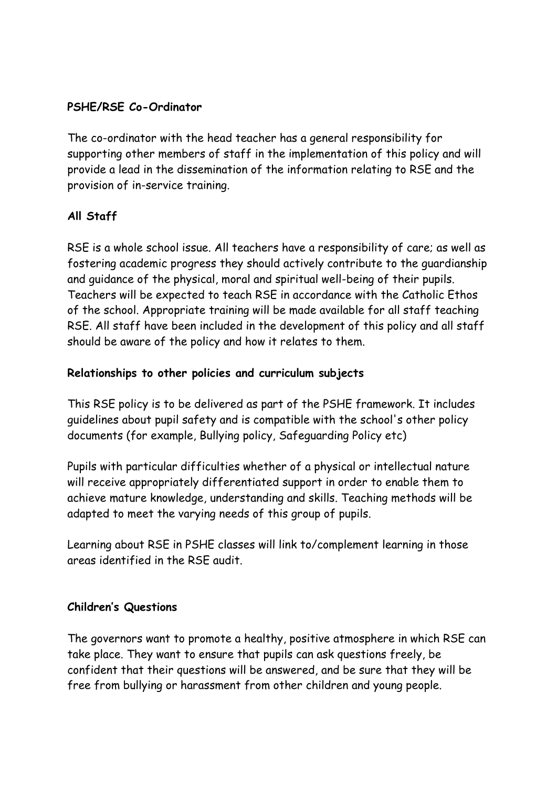### **PSHE/RSE Co-Ordinator**

The co-ordinator with the head teacher has a general responsibility for supporting other members of staff in the implementation of this policy and will provide a lead in the dissemination of the information relating to RSE and the provision of in-service training.

## **All Staff**

RSE is a whole school issue. All teachers have a responsibility of care; as well as fostering academic progress they should actively contribute to the guardianship and guidance of the physical, moral and spiritual well-being of their pupils. Teachers will be expected to teach RSE in accordance with the Catholic Ethos of the school. Appropriate training will be made available for all staff teaching RSE. All staff have been included in the development of this policy and all staff should be aware of the policy and how it relates to them.

### **Relationships to other policies and curriculum subjects**

This RSE policy is to be delivered as part of the PSHE framework. It includes guidelines about pupil safety and is compatible with the school's other policy documents (for example, Bullying policy, Safeguarding Policy etc)

Pupils with particular difficulties whether of a physical or intellectual nature will receive appropriately differentiated support in order to enable them to achieve mature knowledge, understanding and skills. Teaching methods will be adapted to meet the varying needs of this group of pupils.

Learning about RSE in PSHE classes will link to/complement learning in those areas identified in the RSE audit.

### **Children's Questions**

The governors want to promote a healthy, positive atmosphere in which RSE can take place. They want to ensure that pupils can ask questions freely, be confident that their questions will be answered, and be sure that they will be free from bullying or harassment from other children and young people.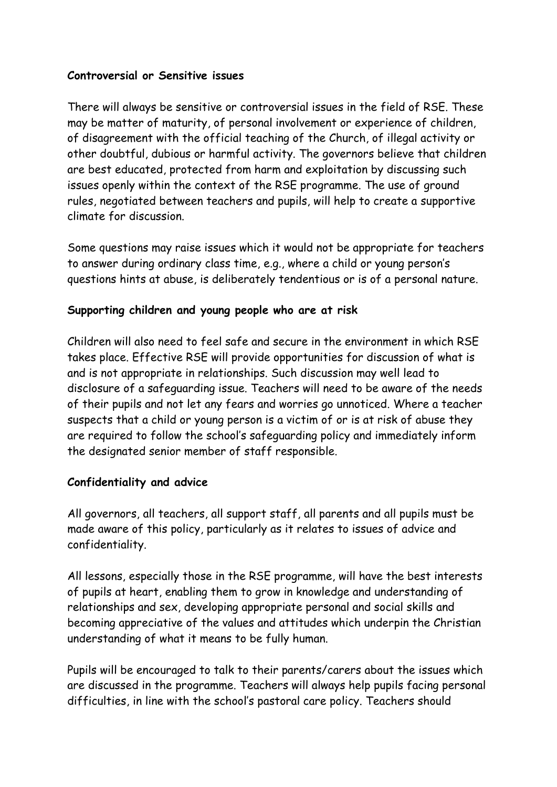### **Controversial or Sensitive issues**

There will always be sensitive or controversial issues in the field of RSE. These may be matter of maturity, of personal involvement or experience of children, of disagreement with the official teaching of the Church, of illegal activity or other doubtful, dubious or harmful activity. The governors believe that children are best educated, protected from harm and exploitation by discussing such issues openly within the context of the RSE programme. The use of ground rules, negotiated between teachers and pupils, will help to create a supportive climate for discussion.

Some questions may raise issues which it would not be appropriate for teachers to answer during ordinary class time, e.g., where a child or young person's questions hints at abuse, is deliberately tendentious or is of a personal nature.

## **Supporting children and young people who are at risk**

Children will also need to feel safe and secure in the environment in which RSE takes place. Effective RSE will provide opportunities for discussion of what is and is not appropriate in relationships. Such discussion may well lead to disclosure of a safeguarding issue. Teachers will need to be aware of the needs of their pupils and not let any fears and worries go unnoticed. Where a teacher suspects that a child or young person is a victim of or is at risk of abuse they are required to follow the school's safeguarding policy and immediately inform the designated senior member of staff responsible.

### **Confidentiality and advice**

All governors, all teachers, all support staff, all parents and all pupils must be made aware of this policy, particularly as it relates to issues of advice and confidentiality.

All lessons, especially those in the RSE programme, will have the best interests of pupils at heart, enabling them to grow in knowledge and understanding of relationships and sex, developing appropriate personal and social skills and becoming appreciative of the values and attitudes which underpin the Christian understanding of what it means to be fully human.

Pupils will be encouraged to talk to their parents/carers about the issues which are discussed in the programme. Teachers will always help pupils facing personal difficulties, in line with the school's pastoral care policy. Teachers should